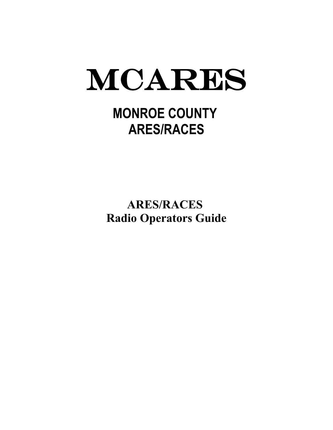

# **MONROE COUNTY ARES/RACES**

**ARES/RACES Radio Operators Guide**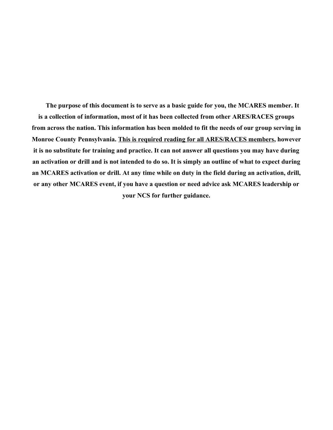**The purpose of this document is to serve as a basic guide for you, the MCARES member. It is a collection of information, most of it has been collected from other ARES/RACES groups from across the nation. This information has been molded to fit the needs of our group serving in Monroe County Pennsylvania. This is required reading for all ARES/RACES members, however it is no substitute for training and practice. It can not answer all questions you may have during an activation or drill and is not intended to do so. It is simply an outline of what to expect during an MCARES activation or drill. At any time while on duty in the field during an activation, drill, or any other MCARES event, if you have a question or need advice ask MCARES leadership or your NCS for further guidance.**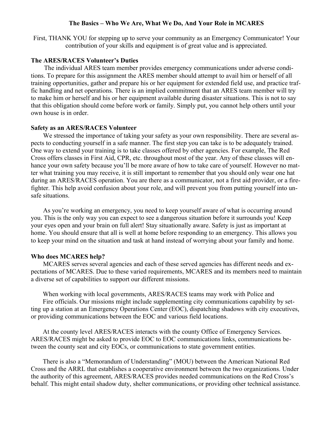#### **The Basics – Who We Are, What We Do, And Your Role in MCARES**

First, THANK YOU for stepping up to serve your community as an Emergency Communicator! Your contribution of your skills and equipment is of great value and is appreciated.

#### **The ARES/RACES Volunteer's Duties**

The individual ARES team member provides emergency communications under adverse conditions. To prepare for this assignment the ARES member should attempt to avail him or herself of all training opportunities, gather and prepare his or her equipment for extended field use, and practice traffic handling and net operations. There is an implied commitment that an ARES team member will try to make him or herself and his or her equipment available during disaster situations. This is not to say that this obligation should come before work or family. Simply put, you cannot help others until your own house is in order.

#### **Safety as an ARES/RACES Volunteer**

We stressed the importance of taking your safety as your own responsibility. There are several aspects to conducting yourself in a safe manner. The first step you can take is to be adequately trained. One way to extend your training is to take classes offered by other agencies. For example, The Red Cross offers classes in First Aid, CPR, etc. throughout most of the year. Any of these classes will enhance your own safety because you'll be more aware of how to take care of yourself. However no matter what training you may receive, it is still important to remember that you should only wear one hat during an ARES/RACES operation. You are there as a communicator, not a first aid provider, or a firefighter. This help avoid confusion about your role, and will prevent you from putting yourself into unsafe situations.

As you're working an emergency, you need to keep yourself aware of what is occurring around you. This is the only way you can expect to see a dangerous situation before it surrounds you! Keep your eyes open and your brain on full alert! Stay situationally aware. Safety is just as important at home. You should ensure that all is well at home before responding to an emergency. This allows you to keep your mind on the situation and task at hand instead of worrying about your family and home.

#### **Who does MCARES help?**

MCARES serves several agencies and each of these served agencies has different needs and expectations of MCARES. Due to these varied requirements, MCARES and its members need to maintain a diverse set of capabilities to support our different missions.

When working with local governments, ARES/RACES teams may work with Police and Fire officials. Our missions might include supplementing city communications capability by setting up a station at an Emergency Operations Center (EOC), dispatching shadows with city executives, or providing communications between the EOC and various field locations.

At the county level ARES/RACES interacts with the county Office of Emergency Services. ARES/RACES might be asked to provide EOC to EOC communications links, communications between the county seat and city EOCs, or communications to state government entities.

There is also a "Memorandum of Understanding" (MOU) between the American National Red Cross and the ARRL that establishes a cooperative environment between the two organizations. Under the authority of this agreement, ARES/RACES provides needed communications on the Red Cross's behalf. This might entail shadow duty, shelter communications, or providing other technical assistance.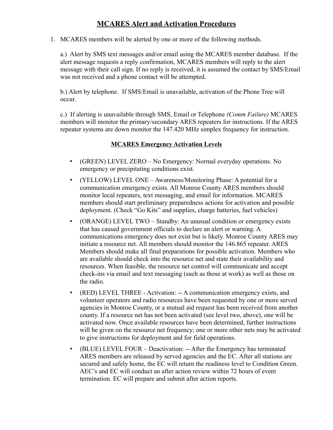# **MCARES Alert and Activation Procedures**

1. MCARES members will be alerted by one or more of the following methods.

a.) Alert by SMS text messages and/or email using the MCARES member database. If the alert message requests a reply confirmation, MCARES members will reply to the alert message with their call sign. If no reply is received, it is assumed the contact by SMS/Email was not received and a phone contact will be attempted.

b.) Alert by telephone. If SMS/Email is unavailable, activation of the Phone Tree will occur.

c.) If alerting is unavailable through SMS, Email or Telephone *(Comm Failure)* MCARES members will monitor the primary/secondary ARES repeaters for instructions. If the ARES repeater systems are down monitor the 147.420 MHz simplex frequency for instruction.

# **MCARES Emergency Activation Levels**

- (GREEN) LEVEL ZERO No Emergency: Normal everyday operations. No emergency or precipitating conditions exist.
- (YELLOW) LEVEL ONE Awareness/Monitoring Phase: A potential for a communication emergency exists. All Monroe County ARES members should monitor local repeaters, text messaging, and email for information. MCARES members should start preliminary preparedness actions for activation and possible deployment. (Check "Go Kits" and supplies, charge batteries, fuel vehicles)
- (ORANGE) LEVEL TWO Standby: An unusual condition or emergency exists that has caused government officials to declare an alert or warning. A communications emergency does not exist but is likely. Monroe County ARES may initiate a resource net. All members should monitor the 146.865 repeater. ARES Members should make all final preparations for possible activation. Members who are available should check into the resource net and state their availability and resources. When feasible, the resource net control will communicate and accept check-ins via email and text messaging (such as those at work) as well as those on the radio.
- (RED) LEVEL THREE Activation: -- A communication emergency exists, and volunteer operators and radio resources have been requested by one or more served agencies in Monroe County, or a mutual aid request has been received from another county. If a resource net has not been activated (see level two, above), one will be activated now. Once available resources have been determined, further instructions will be given on the resource net frequency; one or more other nets may be activated to give instructions for deployment and for field operations.
- (BLUE) LEVEL FOUR Deactivation: -- After the Emergency has terminated ARES members are released by served agencies and the EC. After all stations are secured and safely home, the EC will return the readiness level to Condition Green. AEC's and EC will conduct an after action review within 72 hours of event termination. EC will prepare and submit after action reports.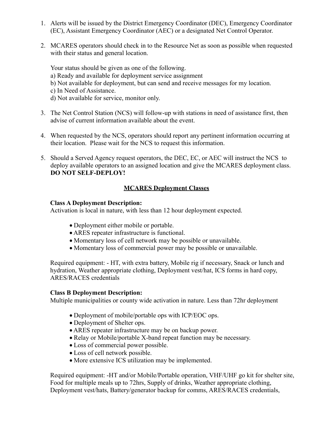- 1. Alerts will be issued by the District Emergency Coordinator (DEC), Emergency Coordinator (EC), Assistant Emergency Coordinator (AEC) or a designated Net Control Operator.
- 2. MCARES operators should check in to the Resource Net as soon as possible when requested with their status and general location.

Your status should be given as one of the following.

- a) Ready and available for deployment service assignment
- b) Not available for deployment, but can send and receive messages for my location.
- c) In Need of Assistance.
- d) Not available for service, monitor only.
- 3. The Net Control Station (NCS) will follow-up with stations in need of assistance first, then advise of current information available about the event.
- 4. When requested by the NCS, operators should report any pertinent information occurring at their location. Please wait for the NCS to request this information.
- 5. Should a Served Agency request operators, the DEC, EC, or AEC will instruct the NCS to deploy available operators to an assigned location and give the MCARES deployment class. **DO NOT SELF-DEPLOY!**

# **MCARES Deployment Classes**

## **Class A Deployment Description:**

Activation is local in nature, with less than 12 hour deployment expected.

- Deployment either mobile or portable.
- ARES repeater infrastructure is functional.
- Momentary loss of cell network may be possible or unavailable.
- Momentary loss of commercial power may be possible or unavailable.

Required equipment: - HT, with extra battery, Mobile rig if necessary, Snack or lunch and hydration, Weather appropriate clothing, Deployment vest/hat, ICS forms in hard copy, ARES/RACES credentials

## **Class B Deployment Description:**

Multiple municipalities or county wide activation in nature. Less than 72hr deployment

- Deployment of mobile/portable ops with ICP/EOC ops.
- Deployment of Shelter ops.
- ARES repeater infrastructure may be on backup power.
- Relay or Mobile/portable X-band repeat function may be necessary.
- Loss of commercial power possible.
- Loss of cell network possible.
- More extensive ICS utilization may be implemented.

Required equipment: -HT and/or Mobile/Portable operation, VHF/UHF go kit for shelter site, Food for multiple meals up to 72hrs, Supply of drinks, Weather appropriate clothing, Deployment vest/hats, Battery/generator backup for comms, ARES/RACES credentials,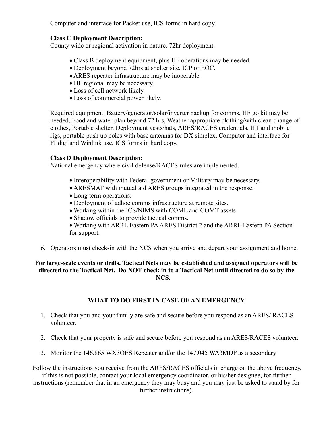Computer and interface for Packet use, ICS forms in hard copy.

# **Class C Deployment Description:**

County wide or regional activation in nature. 72hr deployment.

- Class B deployment equipment, plus HF operations may be needed.
- Deployment beyond 72hrs at shelter site, ICP or EOC.
- ARES repeater infrastructure may be inoperable.
- HF regional may be necessary.
- Loss of cell network likely.
- Loss of commercial power likely.

Required equipment: Battery/generator/solar/inverter backup for comms, HF go kit may be needed, Food and water plan beyond 72 hrs, Weather appropriate clothing/with clean change of clothes, Portable shelter, Deployment vests/hats, ARES/RACES credentials, HT and mobile rigs, portable push up poles with base antennas for DX simplex, Computer and interface for FLdigi and Winlink use, ICS forms in hard copy.

# **Class D Deployment Description:**

National emergency where civil defense/RACES rules are implemented.

- Interoperability with Federal government or Military may be necessary.
- ARESMAT with mutual aid ARES groups integrated in the response.
- Long term operations.
- Deployment of adhoc comms infrastructure at remote sites.
- Working within the ICS/NIMS with COML and COMT assets
- Shadow officials to provide tactical comms.
- Working with ARRL Eastern PA ARES District 2 and the ARRL Eastern PA Section for support.
- 6. Operators must check-in with the NCS when you arrive and depart your assignment and home.

# **For large-scale events or drills, Tactical Nets may be established and assigned operators will be directed to the Tactical Net. Do NOT check in to a Tactical Net until directed to do so by the NCS.**

# **WHAT TO DO FIRST IN CASE OF AN EMERGENCY**

- 1. Check that you and your family are safe and secure before you respond as an ARES/ RACES volunteer.
- 2. Check that your property is safe and secure before you respond as an ARES/RACES volunteer.
- 3. Monitor the 146.865 WX3OES Repeater and/or the 147.045 WA3MDP as a secondary

Follow the instructions you receive from the ARES/RACES officials in charge on the above frequency,

if this is not possible, contact your local emergency coordinator, or his/her designee, for further instructions (remember that in an emergency they may busy and you may just be asked to stand by for

further instructions).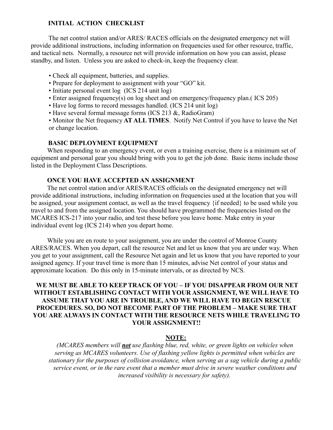## **INITIAL ACTION CHECKLIST**

The net control station and/or ARES/ RACES officials on the designated emergency net will provide additional instructions, including information on frequencies used for other resource, traffic, and tactical nets. Normally, a resource net will provide information on how you can assist, please standby, and listen. Unless you are asked to check-in, keep the frequency clear.

- Check all equipment, batteries, and supplies.
- Prepare for deployment to assignment with your "GO" kit.
- Initiate personal event log (ICS 214 unit log)
- Enter assigned frequency(s) on log sheet and on emergency/frequency plan.( ICS 205)
- Have log forms to record messages handled. (ICS 214 unit log)
- Have several formal message forms (ICS 213 &, RadioGram)

• Monitor the Net frequency **AT ALL TIMES**. Notify Net Control if you have to leave the Net or change location.

#### **BASIC DEPLOYMENT EQUIPMENT**

When responding to an emergency event, or even a training exercise, there is a minimum set of equipment and personal gear you should bring with you to get the job done. Basic items include those listed in the Deployment Class Descriptions.

## **ONCE YOU HAVE ACCEPTED AN ASSIGNMENT**

The net control station and/or ARES/RACES officials on the designated emergency net will provide additional instructions, including information on frequencies used at the location that you will be assigned, your assignment contact, as well as the travel frequency {if needed} to be used while you travel to and from the assigned location. You should have programmed the frequencies listed on the MCARES ICS-217 into your radio, and test these before you leave home. Make entry in your individual event log (ICS 214) when you depart home.

While you are en route to your assignment, you are under the control of Monroe County ARES/RACES. When you depart, call the resource Net and let us know that you are under way. When you get to your assignment, call the Resource Net again and let us know that you have reported to your assigned agency. If your travel time is more than 15 minutes, advise Net control of your status and approximate location. Do this only in 15-minute intervals, or as directed by NCS.

# **WE MUST BE ABLE TO KEEP TRACK OF YOU – IF YOU DISAPPEAR FROM OUR NET WITHOUT ESTABLISHING CONTACT WITH YOUR ASSIGNMENT, WE WILL HAVE TO ASSUME THAT YOU ARE IN TROUBLE, AND WE WILL HAVE TO BEGIN RESCUE PROCEDURES. SO, DO NOT BECOME PART OF THE PROBLEM – MAKE SURE THAT YOU ARE ALWAYS IN CONTACT WITH THE RESOURCE NETS WHILE TRAVELING TO YOUR ASSIGNMENT!!**

#### **NOTE:**

*(MCARES members will not use flashing blue, red, white, or green lights on vehicles when serving as MCARES volunteers. Use of flashing yellow lights is permitted when vehicles are stationary for the purposes of collision avoidance, when serving as a sag vehicle during a public service event, or in the rare event that a member must drive in severe weather conditions and increased visibility is necessary for safety).*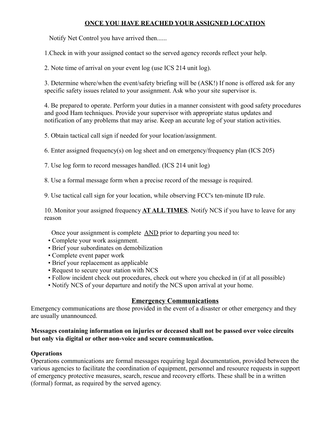# **ONCE YOU HAVE REACHED YOUR ASSIGNED LOCATION**

Notify Net Control you have arrived then......

1.Check in with your assigned contact so the served agency records reflect your help.

2. Note time of arrival on your event log (use ICS 214 unit log).

3. Determine where/when the event/safety briefing will be (ASK!) If none is offered ask for any specific safety issues related to your assignment. Ask who your site supervisor is.

4. Be prepared to operate. Perform your duties in a manner consistent with good safety procedures and good Ham techniques. Provide your supervisor with appropriate status updates and notification of any problems that may arise. Keep an accurate log of your station activities.

5. Obtain tactical call sign if needed for your location/assignment.

6. Enter assigned frequency(s) on log sheet and on emergency/frequency plan (ICS 205)

7. Use log form to record messages handled. (ICS 214 unit log)

8. Use a formal message form when a precise record of the message is required.

9. Use tactical call sign for your location, while observing FCC's ten-minute ID rule.

10. Monitor your assigned frequency **AT ALL TIMES**. Notify NCS if you have to leave for any reason

Once your assignment is complete AND prior to departing you need to:

- Complete your work assignment.
- Brief your subordinates on demobilization
- Complete event paper work
- Brief your replacement as applicable
- Request to secure your station with NCS
- Follow incident check out procedures, check out where you checked in (if at all possible)
- Notify NCS of your departure and notify the NCS upon arrival at your home.

# **Emergency Communications**

Emergency communications are those provided in the event of a disaster or other emergency and they are usually unannounced.

# **Messages containing information on injuries or deceased shall not be passed over voice circuits but only via digital or other non-voice and secure communication.**

# **Operations**

Operations communications are formal messages requiring legal documentation, provided between the various agencies to facilitate the coordination of equipment, personnel and resource requests in support of emergency protective measures, search, rescue and recovery efforts. These shall be in a written (formal) format, as required by the served agency.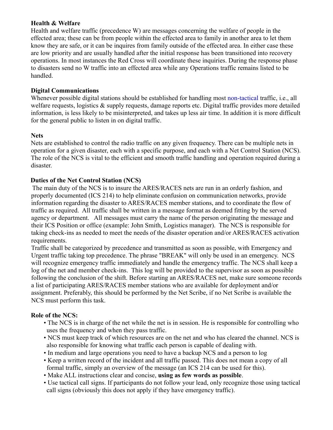# **Health & Welfare**

Health and welfare traffic (precedence W) are messages concerning the welfare of people in the effected area; these can be from people within the effected area to family in another area to let them know they are safe, or it can be inquires from family outside of the effected area. In either case these are low priority and are usually handled after the initial response has been transitioned into recovery operations. In most instances the Red Cross will coordinate these inquiries. During the response phase to disasters send no W traffic into an effected area while any Operations traffic remains listed to be handled.

# **Digital Communications**

Whenever possible digital stations should be established for handling most non-tactical traffic, i.e., all welfare requests, logistics & supply requests, damage reports etc. Digital traffic provides more detailed information, is less likely to be misinterpreted, and takes up less air time. In addition it is more difficult for the general public to listen in on digital traffic.

# **Nets**

Nets are established to control the radio traffic on any given frequency. There can be multiple nets in operation for a given disaster, each with a specific purpose, and each with a Net Control Station (NCS). The role of the NCS is vital to the efficient and smooth traffic handling and operation required during a disaster.

# **Duties of the Net Control Station (NCS)**

The main duty of the NCS is to insure the ARES/RACES nets are run in an orderly fashion, and properly documented (ICS 214) to help eliminate confusion on communication networks, provide information regarding the disaster to ARES/RACES member stations, and to coordinate the flow of traffic as required. All traffic shall be written in a message format as deemed fitting by the served agency or department. All messages must carry the name of the person originating the message and their ICS Position or office (example: John Smith, Logistics manager). The NCS is responsible for taking check-ins as needed to meet the needs of the disaster operation and/or ARES/RACES activation requirements.

Traffic shall be categorized by precedence and transmitted as soon as possible, with Emergency and Urgent traffic taking top precedence. The phrase "BREAK" will only be used in an emergency. NCS will recognize emergency traffic immediately and handle the emergency traffic. The NCS shall keep a log of the net and member check-ins. This log will be provided to the supervisor as soon as possible following the conclusion of the shift. Before starting an ARES/RACES net, make sure someone records a list of participating ARES/RACES member stations who are available for deployment and/or assignment. Preferably, this should be performed by the Net Scribe, if no Net Scribe is available the NCS must perform this task.

# **Role of the NCS:**

- The NCS is in charge of the net while the net is in session. He is responsible for controlling who uses the frequency and when they pass traffic.
- NCS must keep track of which resources are on the net and who has cleared the channel. NCS is also responsible for knowing what traffic each person is capable of dealing with.
- In medium and large operations you need to have a backup NCS and a person to log
- Keep a written record of the incident and all traffic passed. This does not mean a copy of all formal traffic, simply an overview of the message (an ICS 214 can be used for this).
- Make ALL instructions clear and concise, **using as few words as possible**.
- Use tactical call signs. If participants do not follow your lead, only recognize those using tactical call signs (obviously this does not apply if they have emergency traffic).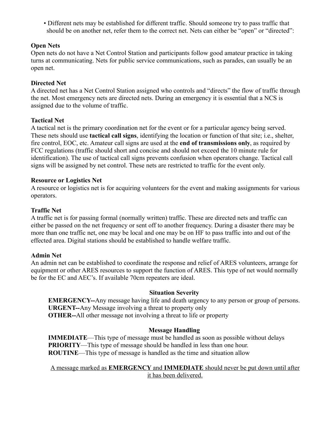• Different nets may be established for different traffic. Should someone try to pass traffic that should be on another net, refer them to the correct net. Nets can either be "open" or "directed":

# **Open Nets**

Open nets do not have a Net Control Station and participants follow good amateur practice in taking turns at communicating. Nets for public service communications, such as parades, can usually be an open net.

# **Directed Net**

A directed net has a Net Control Station assigned who controls and "directs" the flow of traffic through the net. Most emergency nets are directed nets. During an emergency it is essential that a NCS is assigned due to the volume of traffic.

# **Tactical Net**

A tactical net is the primary coordination net for the event or for a particular agency being served. These nets should use **tactical call signs**, identifying the location or function of that site; i.e., shelter, fire control, EOC, etc. Amateur call signs are used at the **end of transmissions only**, as required by FCC regulations (traffic should short and concise and should not exceed the 10 minute rule for identification). The use of tactical call signs prevents confusion when operators change. Tactical call signs will be assigned by net control. These nets are restricted to traffic for the event only.

# **Resource or Logistics Net**

A resource or logistics net is for acquiring volunteers for the event and making assignments for various operators.

# **Traffic Net**

A traffic net is for passing formal (normally written) traffic. These are directed nets and traffic can either be passed on the net frequency or sent off to another frequency. During a disaster there may be more than one traffic net, one may be local and one may be on HF to pass traffic into and out of the effected area. Digital stations should be established to handle welfare traffic.

# **Admin Net**

An admin net can be established to coordinate the response and relief of ARES volunteers, arrange for equipment or other ARES resources to support the function of ARES. This type of net would normally be for the EC and AEC's. If available 70cm repeaters are ideal.

# **Situation Severity**

**EMERGENCY--**Any message having life and death urgency to any person or group of persons. **URGENT--**Any Message involving a threat to property only **OTHER--**All other message not involving a threat to life or property

# **Message Handling**

**IMMEDIATE—This type of message must be handled as soon as possible without delays PRIORITY**—This type of message should be handled in less than one hour. **ROUTINE**—This type of message is handled as the time and situation allow

 A message marked as **EMERGENCY** and **IMMEDIATE** should never be put down until after it has been delivered.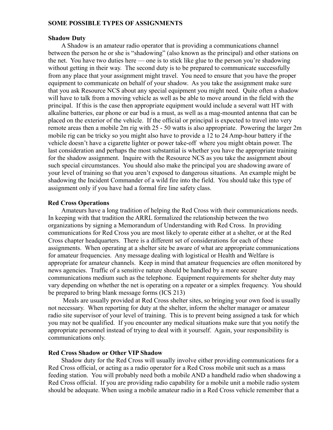#### **SOME POSSIBLE TYPES OF ASSIGNMENTS**

#### **Shadow Duty**

A Shadow is an amateur radio operator that is providing a communications channel between the person he or she is "shadowing" (also known as the principal) and other stations on the net. You have two duties here — one is to stick like glue to the person you're shadowing without getting in their way. The second duty is to be prepared to communicate successfully from any place that your assignment might travel. You need to ensure that you have the proper equipment to communicate on behalf of your shadow. As you take the assignment make sure that you ask Resource NCS about any special equipment you might need. Quite often a shadow will have to talk from a moving vehicle as well as be able to move around in the field with the principal. If this is the case then appropriate equipment would include a several watt HT with alkaline batteries, ear phone or ear bud is a must, as well as a mag-mounted antenna that can be placed on the exterior of the vehicle. If the official or principal is expected to travel into very remote areas then a mobile 2m rig with 25 - 50 watts is also appropriate. Powering the larger 2m mobile rig can be tricky so you might also have to provide a 12 to 24 Amp-hour battery if the vehicle doesn't have a cigarette lighter or power take-off where you might obtain power. The last consideration and perhaps the most substantial is whether you have the appropriate training for the shadow assignment. Inquire with the Resource NCS as you take the assignment about such special circumstances. You should also make the principal you are shadowing aware of your level of training so that you aren't exposed to dangerous situations. An example might be shadowing the Incident Commander of a wild fire into the field. You should take this type of assignment only if you have had a formal fire line safety class.

## **Red Cross Operations**

Amateurs have a long tradition of helping the Red Cross with their communications needs. In keeping with that tradition the ARRL formalized the relationship between the two organizations by signing a Memorandum of Understanding with Red Cross. In providing communications for Red Cross you are most likely to operate either at a shelter, or at the Red Cross chapter headquarters. There is a different set of considerations for each of these assignments. When operating at a shelter site be aware of what are appropriate communications for amateur frequencies. Any message dealing with logistical or Health and Welfare is appropriate for amateur channels. Keep in mind that amateur frequencies are often monitored by news agencies. Traffic of a sensitive nature should be handled by a more secure communications medium such as the telephone. Equipment requirements for shelter duty may vary depending on whether the net is operating on a repeater or a simplex frequency. You should be prepared to bring blank message forms (ICS 213)

 Meals are usually provided at Red Cross shelter sites, so bringing your own food is usually not necessary. When reporting for duty at the shelter, inform the shelter manager or amateur radio site supervisor of your level of training. This is to prevent being assigned a task for which you may not be qualified. If you encounter any medical situations make sure that you notify the appropriate personnel instead of trying to deal with it yourself. Again, your responsibility is communications only.

#### **Red Cross Shadow or Other VIP Shadow**

Shadow duty for the Red Cross will usually involve either providing communications for a Red Cross official, or acting as a radio operator for a Red Cross mobile unit such as a mass feeding station. You will probably need both a mobile AND a handheld radio when shadowing a Red Cross official. If you are providing radio capability for a mobile unit a mobile radio system should be adequate. When using a mobile amateur radio in a Red Cross vehicle remember that a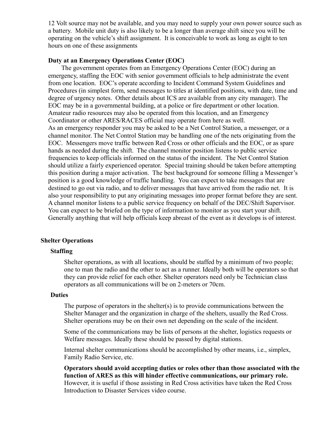12 Volt source may not be available, and you may need to supply your own power source such as a battery. Mobile unit duty is also likely to be a longer than average shift since you will be operating on the vehicle's shift assignment. It is conceivable to work as long as eight to ten hours on one of these assignments

## **Duty at an Emergency Operations Center (EOC)**

The government operates from an Emergency Operations Center (EOC) during an emergency, staffing the EOC with senior government officials to help administrate the event from one location. EOC's operate according to Incident Command System Guidelines and Procedures (in simplest form, send messages to titles at identified positions, with date, time and degree of urgency notes. Other details about ICS are available from any city manager). The EOC may be in a governmental building, at a police or fire department or other location. Amateur radio resources may also be operated from this location, and an Emergency Coordinator or other ARES/RACES official may operate from here as well. As an emergency responder you may be asked to be a Net Control Station, a messenger, or a channel monitor. The Net Control Station may be handling one of the nets originating from the EOC. Messengers move traffic between Red Cross or other officials and the EOC, or as spare hands as needed during the shift. The channel monitor position listens to public service frequencies to keep officials informed on the status of the incident. The Net Control Station should utilize a fairly experienced operator. Special training should be taken before attempting this position during a major activation. The best background for someone filling a Messenger's position is a good knowledge of traffic handling. You can expect to take messages that are destined to go out via radio, and to deliver messages that have arrived from the radio net. It is also your responsibility to put any originating messages into proper format before they are sent. A channel monitor listens to a public service frequency on behalf of the DEC/Shift Supervisor. You can expect to be briefed on the type of information to monitor as you start your shift. Generally anything that will help officials keep abreast of the event as it develops is of interest.

## **Shelter Operations**

#### **Staffing**

Shelter operations, as with all locations, should be staffed by a minimum of two people; one to man the radio and the other to act as a runner. Ideally both will be operators so that they can provide relief for each other. Shelter operators need only be Technician class operators as all communications will be on 2-meters or 70cm.

## **Duties**

The purpose of operators in the shelter(s) is to provide communications between the Shelter Manager and the organization in charge of the shelters, usually the Red Cross. Shelter operations may be on their own net depending on the scale of the incident.

Some of the communications may be lists of persons at the shelter, logistics requests or Welfare messages. Ideally these should be passed by digital stations.

Internal shelter communications should be accomplished by other means, i.e., simplex, Family Radio Service, etc.

**Operators should avoid accepting duties or roles other than those associated with the function of ARES as this will hinder effective communications, our primary role.**  However, it is useful if those assisting in Red Cross activities have taken the Red Cross Introduction to Disaster Services video course.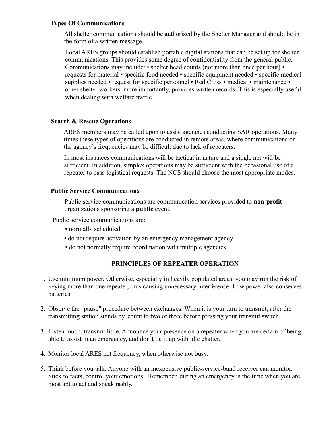# **Types Of Communications**

All shelter communications should be authorized by the Shelter Manager and should be in the form of a written message.

Local ARES groups should establish portable digital stations that can be set up for shelter communications. This provides some degree of confidentiality from the general public. Communications may include: • shelter head counts (not more than once per hour) • requests for material • specific food needed • specific equipment needed • specific medical supplies needed • request for specific personnel • Red Cross • medical • maintenance • other shelter workers, more importantly, provides written records. This is especially useful when dealing with welfare traffic.

# **Search & Rescue Operations**

ARES members may be called upon to assist agencies conducting SAR operations. Many times these types of operations are conducted in remote areas, where communications on the agency's frequencies may be difficult due to lack of repeaters.

In most instances communications will be tactical in nature and a single net will be sufficient. In addition, simplex operations may be sufficient with the occasional use of a repeater to pass logistical requests. The NCS should choose the most appropriate modes.

# **Public Service Communications**

Public service communications are communication services provided to **non-profit**  organizations sponsoring a **public** event.

Public service communications are:

- normally scheduled
- do not require activation by an emergency management agency
- do not normally require coordination with multiple agencies

# **PRINCIPLES OF REPEATER OPERATION**

- 1. Use minimum power. Otherwise, especially in heavily populated areas, you may run the risk of keying more than one repeater, thus causing unnecessary interference. Low power also conserves batteries.
- 2. Observe the "pause" procedure between exchanges. When it is your turn to transmit, after the transmitting station stands by, count to two or three before pressing your transmit switch.
- 3. Listen much, transmit little. Announce your presence on a repeater when you are certain of being able to assist in an emergency, and don't tie it up with idle chatter.
- 4. Monitor local ARES net frequency, when otherwise not busy.
- 5. Think before you talk. Anyone with an inexpensive public-service-band receiver can monitor. Stick to facts, control your emotions. Remember, during an emergency is the time when you are most apt to act and speak rashly.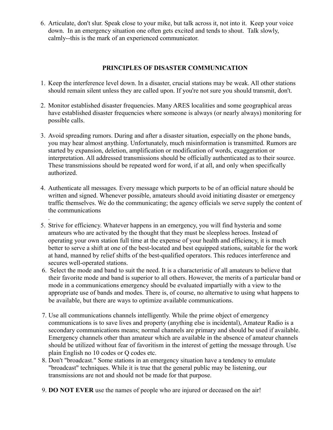6. Articulate, don't slur. Speak close to your mike, but talk across it, not into it. Keep your voice down. In an emergency situation one often gets excited and tends to shout. Talk slowly, calmly--this is the mark of an experienced communicator.

# **PRINCIPLES OF DISASTER COMMUNICATION**

- 1. Keep the interference level down. In a disaster, crucial stations may be weak. All other stations should remain silent unless they are called upon. If you're not sure you should transmit, don't.
- 2. Monitor established disaster frequencies. Many ARES localities and some geographical areas have established disaster frequencies where someone is always (or nearly always) monitoring for possible calls.
- 3. Avoid spreading rumors. During and after a disaster situation, especially on the phone bands, you may hear almost anything. Unfortunately, much misinformation is transmitted. Rumors are started by expansion, deletion, amplification or modification of words, exaggeration or interpretation. All addressed transmissions should be officially authenticated as to their source. These transmissions should be repeated word for word, if at all, and only when specifically authorized.
- 4. Authenticate all messages. Every message which purports to be of an official nature should be written and signed. Whenever possible, amateurs should avoid initiating disaster or emergency traffic themselves. We do the communicating; the agency officials we serve supply the content of the communications
- . 5. Strive for efficiency. Whatever happens in an emergency, you will find hysteria and some amateurs who are activated by the thought that they must be sleepless heroes. Instead of operating your own station full time at the expense of your health and efficiency, it is much better to serve a shift at one of the best-located and best equipped stations, suitable for the work at hand, manned by relief shifts of the best-qualified operators. This reduces interference and secures well-operated stations.
- 6. Select the mode and band to suit the need. It is a characteristic of all amateurs to believe that their favorite mode and band is superior to all others. However, the merits of a particular band or mode in a communications emergency should be evaluated impartially with a view to the appropriate use of bands and modes. There is, of course, no alternative to using what happens to be available, but there are ways to optimize available communications.
- 7. Use all communications channels intelligently. While the prime object of emergency communications is to save lives and property (anything else is incidental), Amateur Radio is a secondary communications means; normal channels are primary and should be used if available. Emergency channels other than amateur which are available in the absence of amateur channels should be utilized without fear of favoritism in the interest of getting the message through. Use plain English no 10 codes or Q codes etc.
- 8. Don't "broadcast." Some stations in an emergency situation have a tendency to emulate "broadcast" techniques. While it is true that the general public may be listening, our transmissions are not and should not be made for that purpose.
- 9. **DO NOT EVER** use the names of people who are injured or deceased on the air!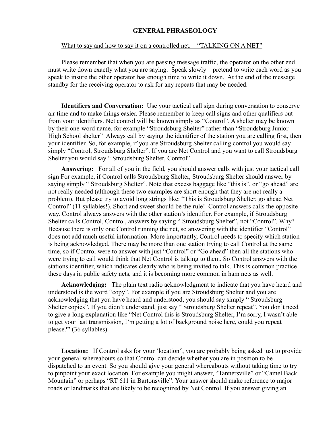#### **GENERAL PHRASEOLOGY**

#### What to say and how to say it on a controlled net. "TALKING ON A NET"

Please remember that when you are passing message traffic, the operator on the other end must write down exactly what you are saying. Speak slowly – pretend to write each word as you speak to insure the other operator has enough time to write it down. At the end of the message standby for the receiving operator to ask for any repeats that may be needed.

**Identifiers and Conversation:** Use your tactical call sign during conversation to conserve air time and to make things easier. Please remember to keep call signs and other qualifiers out from your identifiers. Net control will be known simply as "Control". A shelter may be known by their one-word name, for example "Stroudsburg Shelter" rather than "Stroudsburg Junior High School shelter" Always call by saying the identifier of the station you are calling first, then your identifier. So, for example, if you are Stroudsburg Shelter calling control you would say simply "Control, Stroudsburg Shelter". If you are Net Control and you want to call Stroudsburg Shelter you would say " Stroudsburg Shelter, Control".

**Answering:** For all of you in the field, you should answer calls with just your tactical call sign For example, if Control calls Stroudsburg Shelter, Stroudsburg Shelter should answer by saying simply " Stroudsburg Shelter". Note that excess baggage like "this is", or "go ahead" are not really needed (although these two examples are short enough that they are not really a problem). But please try to avoid long strings like: "This is Stroudsburg Shelter, go ahead Net Control" (11 syllables!). Short and sweet should be the rule! Control answers calls the opposite way. Control always answers with the other station's identifier. For example, if Stroudsburg Shelter calls Control, Control, answers by saying " Stroudsburg Shelter", not "Control". Why? Because there is only one Control running the net, so answering with the identifier "Control" does not add much useful information. More importantly, Control needs to specify which station is being acknowledged. There may be more than one station trying to call Control at the same time, so if Control were to answer with just "Control" or "Go ahead" then all the stations who were trying to call would think that Net Control is talking to them. So Control answers with the stations identifier, which indicates clearly who is being invited to talk. This is common practice these days in public safety nets, and it is becoming more common in ham nets as well.

**Acknowledging:** The plain text radio acknowledgment to indicate that you have heard and understood is the word "copy". For example if you are Stroudsburg Shelter and you are acknowledging that you have heard and understood, you should say simply " Stroudsburg Shelter copies". If you didn't understand, just say " Stroudsburg Shelter repeat". You don't need to give a long explanation like "Net Control this is Stroudsburg Shelter, I'm sorry, I wasn't able to get your last transmission, I'm getting a lot of background noise here, could you repeat please?" (36 syllables)

Location: If Control asks for your 'location", you are probably being asked just to provide your general whereabouts so that Control can decide whether you are in position to be dispatched to an event. So you should give your general whereabouts without taking time to try to pinpoint your exact location. For example you might answer, "Tannersville" or "Camel Back Mountain" or perhaps "RT 611 in Bartonsville". Your answer should make reference to major roads or landmarks that are likely to be recognized by Net Control. If you answer giving an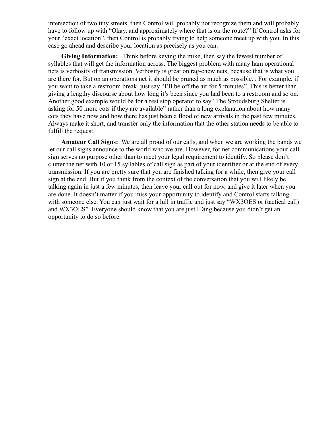intersection of two tiny streets, then Control will probably not recognize them and will probably have to follow up with "Okay, and approximately where that is on the route?" If Control asks for your "exact location", then Control is probably trying to help someone meet up with you. In this case go ahead and describe your location as precisely as you can.

**Giving Information:** Think before keying the mike, then say the fewest number of syllables that will get the information across. The biggest problem with many ham operational nets is verbosity of transmission. Verbosity is great on rag-chew nets, because that is what you are there for. But on an operations net it should be pruned as much as possible. . For example, if you want to take a restroom break, just say "I'll be off the air for 5 minutes". This is better than giving a lengthy discourse about how long it's been since you had been to a restroom and so on. Another good example would be for a rest stop operator to say "The Stroudsburg Shelter is asking for 50 more cots if they are available" rather than a long explanation about how many cots they have now and how there has just been a flood of new arrivals in the past few minutes. Always make it short, and transfer only the information that the other station needs to be able to fulfill the request.

**Amateur Call Signs:** We are all proud of our calls, and when we are working the bands we let our call signs announce to the world who we are. However, for net communications your call sign serves no purpose other than to meet your legal requirement to identify. So please don't clutter the net with 10 or 15 syllables of call sign as part of your identifier or at the end of every transmission. If you are pretty sure that you are finished talking for a while, then give your call sign at the end. But if you think from the context of the conversation that you will likely be talking again in just a few minutes, then leave your call out for now, and give it later when you are done. It doesn't matter if you miss your opportunity to identify and Control starts talking with someone else. You can just wait for a lull in traffic and just say "WX3OES or (tactical call) and WX3OES". Everyone should know that you are just IDing because you didn't get an opportunity to do so before.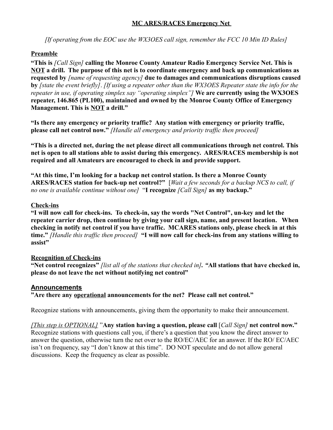# **MC ARES/RACES Emergency Net**

*[If operating from the EOC use the WX3OES call sign, remember the FCC 10 Min ID Rules]*

# **Preamble**

**"This is** *[Call Sign]* **calling the Monroe County Amateur Radio Emergency Service Net. This is NOT a drill. The purpose of this net is to coordinate emergency and back up communications as requested by** *[name of requesting agency]* **due to damages and communications disruptions caused by** *[state the event briefly]*. *[If using a repeater other than the WX3OES Repeater state the info for the repeater in use, if operating simplex say "operating simplex"]* **We are currently using the WX3OES repeater, 146.865 (PL100), maintained and owned by the Monroe County Office of Emergency Management. This is NOT a drill."**

**"Is there any emergency or priority traffic? Any station with emergency or priority traffic, please call net control now."** *[Handle all emergency and priority traffic then proceed]*

**"This is a directed net, during the net please direct all communications through net control. This net is open to all stations able to assist during this emergency. ARES/RACES membership is not required and all Amateurs are encouraged to check in and provide support.** 

**"At this time, I'm looking for a backup net control station. Is there a Monroe County ARES/RACES station for back-up net control?"** [*Wait a few seconds for a backup NCS to call, if no one is available continue without one]* "**I recognize** *[Call Sign]* **as my backup."**

# **Check-ins**

**"I will now call for check-ins. To check-in, say the words "Net Control", un-key and let the repeater carrier drop, then continue by giving your call sign, name, and present location. When checking in notify net control if you have traffic. MCARES stations only, please check in at this time."** *[Handle this traffic then proceed]* **"I will now call for check-ins from any stations willing to assist"**

# **Recognition of Check-ins**

**"Net control recognizes"** *[list all of the stations that checked in]. "***All stations that have checked in, please do not leave the net without notifying net control"**

# **Announcements**

**"Are there any operational announcements for the net? Please call net control."**

Recognize stations with announcements, giving them the opportunity to make their announcement.

*[This step is OPTIONAL]* "**Any station having a question, please call** [*Call Sign]* **net control now."** Recognize stations with questions call you, if there's a question that you know the direct answer to answer the question, otherwise turn the net over to the RO/EC/AEC for an answer. If the RO/ EC/AEC isn't on frequency, say "I don't know at this time". DO NOT speculate and do not allow general discussions. Keep the frequency as clear as possible.